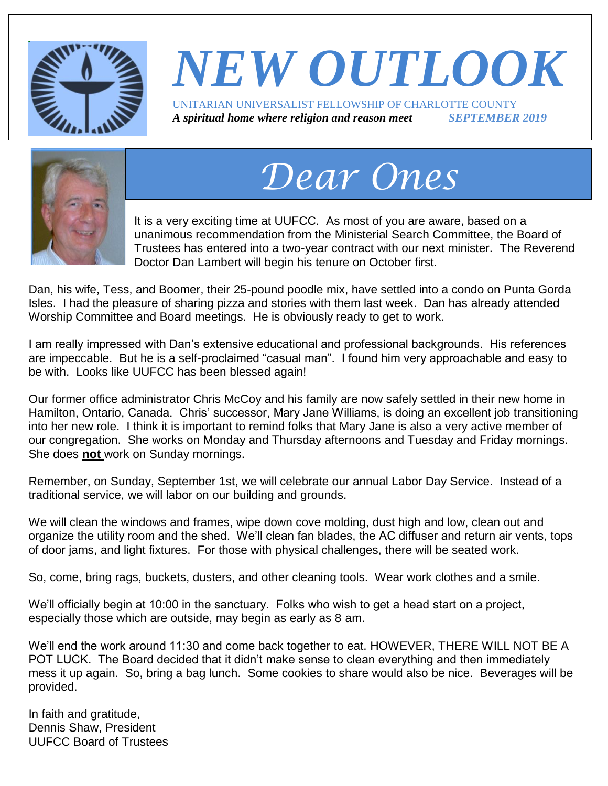

## *NEW OUTLOOK* UNITARIAN UNIVERSALIST FELLOWSHIP OF CHARLOTTE COUNTY *A spiritual home where religion and reason meet SEPTEMBER 2019*



# *Dear Ones*

It is a very exciting time at UUFCC. As most of you are aware, based on a unanimous recommendation from the Ministerial Search Committee, the Board of Trustees has entered into a two-year contract with our next minister. The Reverend Doctor Dan Lambert will begin his tenure on October first.

Dan, his wife, Tess, and Boomer, their 25-pound poodle mix, have settled into a condo on Punta Gorda Isles. I had the pleasure of sharing pizza and stories with them last week. Dan has already attended Worship Committee and Board meetings. He is obviously ready to get to work.

I am really impressed with Dan's extensive educational and professional backgrounds. His references are impeccable. But he is a self-proclaimed "casual man". I found him very approachable and easy to be with. Looks like UUFCC has been blessed again!

Our former office administrator Chris McCoy and his family are now safely settled in their new home in Hamilton, Ontario, Canada. Chris' successor, Mary Jane Williams, is doing an excellent job transitioning into her new role. I think it is important to remind folks that Mary Jane is also a very active member of our congregation. She works on Monday and Thursday afternoons and Tuesday and Friday mornings. She does **not** work on Sunday mornings.

Remember, on Sunday, September 1st, we will celebrate our annual Labor Day Service. Instead of a traditional service, we will labor on our building and grounds.

We will clean the windows and frames, wipe down cove molding, dust high and low, clean out and organize the utility room and the shed. We'll clean fan blades, the AC diffuser and return air vents, tops of door jams, and light fixtures. For those with physical challenges, there will be seated work.

So, come, bring rags, buckets, dusters, and other cleaning tools. Wear work clothes and a smile.

We'll officially begin at 10:00 in the sanctuary. Folks who wish to get a head start on a project, especially those which are outside, may begin as early as 8 am.

We'll end the work around 11:30 and come back together to eat. HOWEVER, THERE WILL NOT BE A POT LUCK. The Board decided that it didn't make sense to clean everything and then immediately mess it up again. So, bring a bag lunch. Some cookies to share would also be nice. Beverages will be provided.

In faith and gratitude, Dennis Shaw, President UUFCC Board of Trustees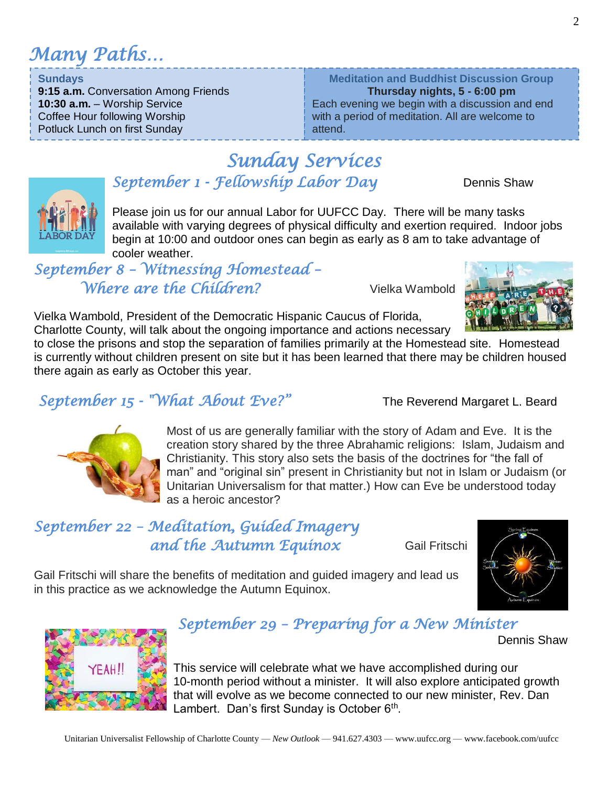*Many Paths…*

**Sundays**

*September 1 - Fellowship Labor Day* Dennis Shaw

Please join us for our annual Labor for UUFCC Day. There will be many tasks available with varying degrees of physical difficulty and exertion required. Indoor jobs begin at 10:00 and outdoor ones can begin as early as 8 am to take advantage of cooler weather.

*September 8 – Witnessing Homestead – Where are the Children?* Vielka Wambold

Vielka Wambold, President of the Democratic Hispanic Caucus of Florida, Charlotte County, will talk about the ongoing importance and actions necessary

to close the prisons and stop the separation of families primarily at the Homestead site. Homestead is currently without children present on site but it has been learned that there may be children housed there again as early as October this year.

*Sunday Services* 

### *September 15 - "What About Eve?"* The Reverend Margaret L. Beard

Most of us are generally familiar with the story of Adam and Eve. It is the creation story shared by the three Abrahamic religions: Islam, Judaism and Christianity. This story also sets the basis of the doctrines for "the fall of man" and "original sin" present in Christianity but not in Islam or Judaism (or Unitarian Universalism for that matter.) How can Eve be understood today as a heroic ancestor?

### *September 22 – Meditation, Guided Imagery*  **and the Autumn Equinox** Gail Fritschi

Gail Fritschi will share the benefits of meditation and guided imagery and lead us in this practice as we acknowledge the Autumn Equinox.

## *September 29 – Preparing for a New Minister*

This service will celebrate what we have accomplished during our 10-month period without a minister. It will also explore anticipated growth that will evolve as we become connected to our new minister, Rev. Dan Lambert. Dan's first Sunday is October 6<sup>th</sup>.





**Meditation and Buddhist Discussion Group Thursday nights, 5 - 6:00 pm** Each evening we begin with a discussion and end with a period of meditation. All are welcome to attend.

**10:30 a.m.** – Worship Service Coffee Hour following Worship Potluck Lunch on first Sunday

**9:15 a.m.** Conversation Among Friends



Dennis Shaw

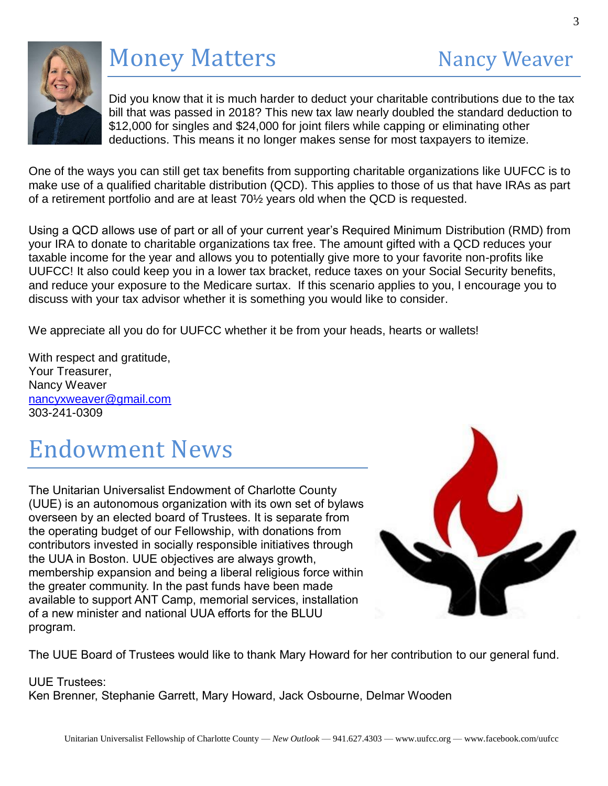

## Money Matters Nancy Weaver

3

Did you know that it is much harder to deduct your charitable contributions due to the tax bill that was passed in 2018? This new tax law nearly doubled the standard deduction to \$12,000 for singles and \$24,000 for joint filers while capping or eliminating other deductions. This means it no longer makes sense for most taxpayers to itemize.

One of the ways you can still get tax benefits from supporting charitable organizations like UUFCC is to make use of a qualified charitable distribution (QCD). This applies to those of us that have IRAs as part of a retirement portfolio and are at least 70½ years old when the QCD is requested.

Using a QCD allows use of part or all of your current year's Required Minimum Distribution (RMD) from your IRA to donate to charitable organizations tax free. The amount gifted with a QCD reduces your taxable income for the year and allows you to potentially give more to your favorite non-profits like UUFCC! It also could keep you in a lower tax bracket, reduce taxes on your Social Security benefits, and reduce your exposure to the Medicare surtax. If this scenario applies to you, I encourage you to discuss with your tax advisor whether it is something you would like to consider.

We appreciate all you do for UUFCC whether it be from your heads, hearts or wallets!

With respect and gratitude, Your Treasurer, Nancy Weaver [nancyxweaver@gmail.com](mailto:nancyxweaver@gmail.com) 303-241-0309

## Endowment News

The Unitarian Universalist Endowment of Charlotte County (UUE) is an autonomous organization with its own set of bylaws overseen by an elected board of Trustees. It is separate from the operating budget of our Fellowship, with donations from contributors invested in socially responsible initiatives through the UUA in Boston. UUE objectives are always growth, membership expansion and being a liberal religious force within the greater community. In the past funds have been made available to support ANT Camp, memorial services, installation of a new minister and national UUA efforts for the BLUU program.



The UUE Board of Trustees would like to thank Mary Howard for her contribution to our general fund.

#### UUE Trustees: Ken Brenner, Stephanie Garrett, Mary Howard, Jack Osbourne, Delmar Wooden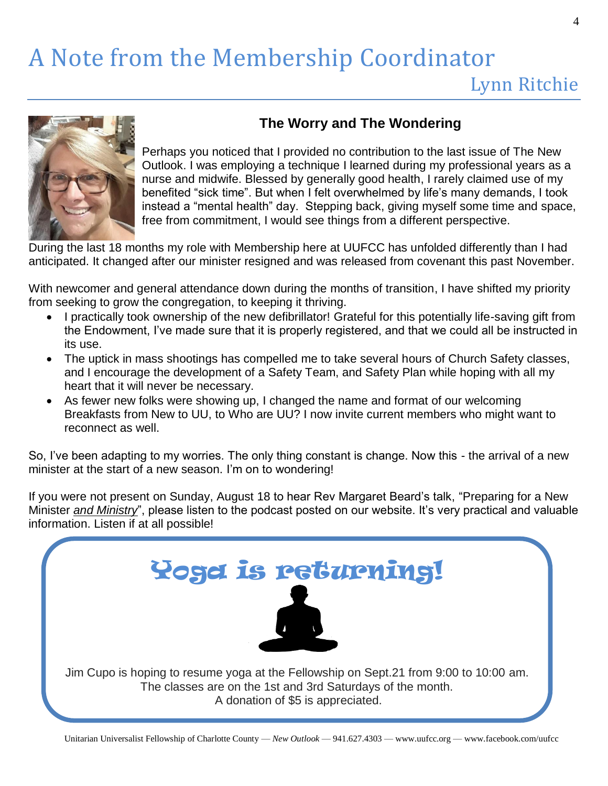# A Note from the Membership Coordinator

## Lynn Ritchie



#### **The Worry and The Wondering**

Perhaps you noticed that I provided no contribution to the last issue of The New Outlook. I was employing a technique I learned during my professional years as a nurse and midwife. Blessed by generally good health, I rarely claimed use of my benefited "sick time". But when I felt overwhelmed by life's many demands, I took instead a "mental health" day. Stepping back, giving myself some time and space, free from commitment, I would see things from a different perspective.

During the last 18 months my role with Membership here at UUFCC has unfolded differently than I had anticipated. It changed after our minister resigned and was released from covenant this past November.

With newcomer and general attendance down during the months of transition, I have shifted my priority from seeking to grow the congregation, to keeping it thriving.

- I practically took ownership of the new defibrillator! Grateful for this potentially life-saving gift from the Endowment, I've made sure that it is properly registered, and that we could all be instructed in its use.
- The uptick in mass shootings has compelled me to take several hours of Church Safety classes, and I encourage the development of a Safety Team, and Safety Plan while hoping with all my heart that it will never be necessary.
- As fewer new folks were showing up, I changed the name and format of our welcoming Breakfasts from New to UU, to Who are UU? I now invite current members who might want to reconnect as well.

So, I've been adapting to my worries. The only thing constant is change. Now this - the arrival of a new minister at the start of a new season. I'm on to wondering!

If you were not present on Sunday, August 18 to hear Rev Margaret Beard's talk, "Preparing for a New Minister *and Ministry*", please listen to the podcast posted on our website. It's very practical and valuable information. Listen if at all possible!

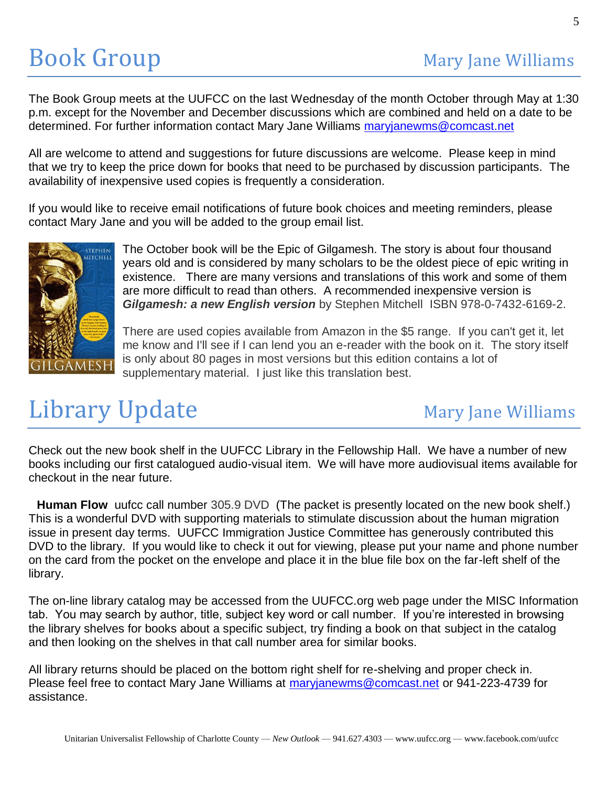The Book Group meets at the UUFCC on the last Wednesday of the month October through May at 1:30 p.m. except for the November and December discussions which are combined and held on a date to be determined. For further information contact Mary Jane Williams [maryjanewms@comcast.net](mailto:maryjanewms@comcast.net)

All are welcome to attend and suggestions for future discussions are welcome. Please keep in mind that we try to keep the price down for books that need to be purchased by discussion participants. The availability of inexpensive used copies is frequently a consideration.

If you would like to receive email notifications of future book choices and meeting reminders, please contact Mary Jane and you will be added to the group email list.



The October book will be the Epic of Gilgamesh. The story is about four thousand years old and is considered by many scholars to be the oldest piece of epic writing in existence. There are many versions and translations of this work and some of them are more difficult to read than others. A recommended inexpensive version is *Gilgamesh: a new English version* by Stephen Mitchell ISBN 978-0-7432-6169-2.

There are used copies available from Amazon in the \$5 range. If you can't get it, let me know and I'll see if I can lend you an e-reader with the book on it. The story itself is only about 80 pages in most versions but this edition contains a lot of supplementary material. I just like this translation best.

# Library Update Mary Jane Williams

Check out the new book shelf in the UUFCC Library in the Fellowship Hall. We have a number of new books including our first catalogued audio-visual item. We will have more audiovisual items available for checkout in the near future.

**Human Flow** uufcc call number 305.9 DVD (The packet is presently located on the new book shelf.) This is a wonderful DVD with supporting materials to stimulate discussion about the human migration issue in present day terms. UUFCC Immigration Justice Committee has generously contributed this DVD to the library. If you would like to check it out for viewing, please put your name and phone number on the card from the pocket on the envelope and place it in the blue file box on the far-left shelf of the library.

The on-line library catalog may be accessed from the UUFCC.org web page under the MISC Information tab. You may search by author, title, subject key word or call number. If you're interested in browsing the library shelves for books about a specific subject, try finding a book on that subject in the catalog and then looking on the shelves in that call number area for similar books.

All library returns should be placed on the bottom right shelf for re-shelving and proper check in. Please feel free to contact Mary Jane Williams at [maryjanewms@comcast.net](mailto:maryjanewms@comcast.net) or 941-223-4739 for assistance.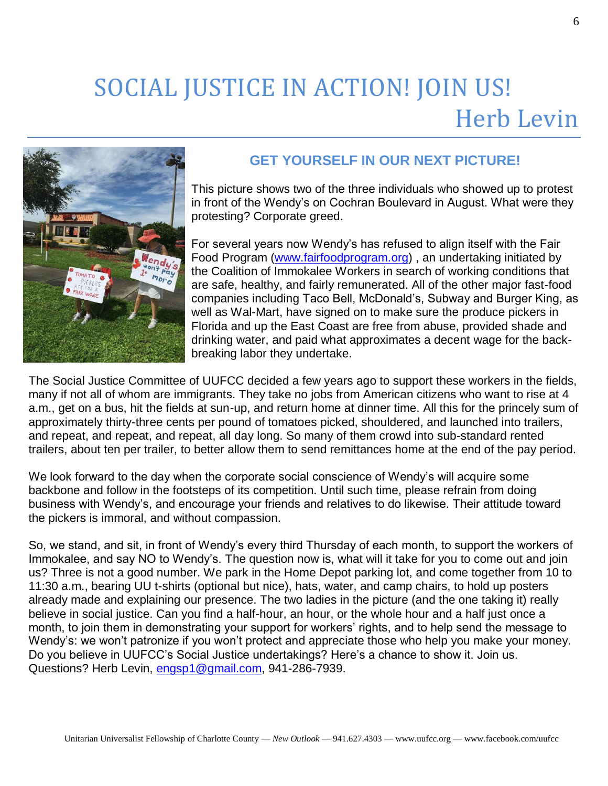# SOCIAL JUSTICE IN ACTION! JOIN US! Herb Levin



#### **GET YOURSELF IN OUR NEXT PICTURE!**

This picture shows two of the three individuals who showed up to protest in front of the Wendy's on Cochran Boulevard in August. What were they protesting? Corporate greed.

For several years now Wendy's has refused to align itself with the Fair Food Program [\(www.fairfoodprogram.org\)](http://www.fairfoodprogram.org/) , an undertaking initiated by the Coalition of Immokalee Workers in search of working conditions that are safe, healthy, and fairly remunerated. All of the other major fast-food companies including Taco Bell, McDonald's, Subway and Burger King, as well as Wal-Mart, have signed on to make sure the produce pickers in Florida and up the East Coast are free from abuse, provided shade and drinking water, and paid what approximates a decent wage for the backbreaking labor they undertake.

The Social Justice Committee of UUFCC decided a few years ago to support these workers in the fields, many if not all of whom are immigrants. They take no jobs from American citizens who want to rise at 4 a.m., get on a bus, hit the fields at sun-up, and return home at dinner time. All this for the princely sum of approximately thirty-three cents per pound of tomatoes picked, shouldered, and launched into trailers, and repeat, and repeat, and repeat, all day long. So many of them crowd into sub-standard rented trailers, about ten per trailer, to better allow them to send remittances home at the end of the pay period.

We look forward to the day when the corporate social conscience of Wendy's will acquire some backbone and follow in the footsteps of its competition. Until such time, please refrain from doing business with Wendy's, and encourage your friends and relatives to do likewise. Their attitude toward the pickers is immoral, and without compassion.

So, we stand, and sit, in front of Wendy's every third Thursday of each month, to support the workers of Immokalee, and say NO to Wendy's. The question now is, what will it take for you to come out and join us? Three is not a good number. We park in the Home Depot parking lot, and come together from 10 to 11:30 a.m., bearing UU t-shirts (optional but nice), hats, water, and camp chairs, to hold up posters already made and explaining our presence. The two ladies in the picture (and the one taking it) really believe in social justice. Can you find a half-hour, an hour, or the whole hour and a half just once a month, to join them in demonstrating your support for workers' rights, and to help send the message to Wendy's: we won't patronize if you won't protect and appreciate those who help you make your money. Do you believe in UUFCC's Social Justice undertakings? Here's a chance to show it. Join us. Questions? Herb Levin, [engsp1@gmail.com,](mailto:engsp1@gmail.com) 941-286-7939.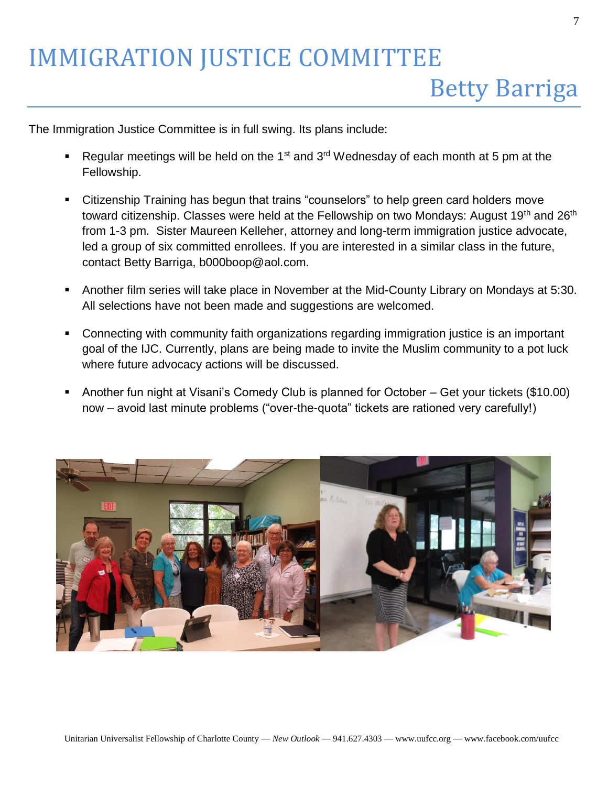The Immigration Justice Committee is in full swing. Its plans include:

- **•** Regular meetings will be held on the 1<sup>st</sup> and 3<sup>rd</sup> Wednesday of each month at 5 pm at the Fellowship.
- Citizenship Training has begun that trains "counselors" to help green card holders move toward citizenship. Classes were held at the Fellowship on two Mondays: August 19<sup>th</sup> and 26<sup>th</sup> from 1-3 pm. Sister Maureen Kelleher, attorney and long-term immigration justice advocate, led a group of six committed enrollees. If you are interested in a similar class in the future, contact Betty Barriga, b000boop@aol.com.
- Another film series will take place in November at the Mid-County Library on Mondays at 5:30. All selections have not been made and suggestions are welcomed.
- Connecting with community faith organizations regarding immigration justice is an important goal of the IJC. Currently, plans are being made to invite the Muslim community to a pot luck where future advocacy actions will be discussed.
- Another fun night at Visani's Comedy Club is planned for October Get your tickets (\$10.00) now – avoid last minute problems ("over-the-quota" tickets are rationed very carefully!)

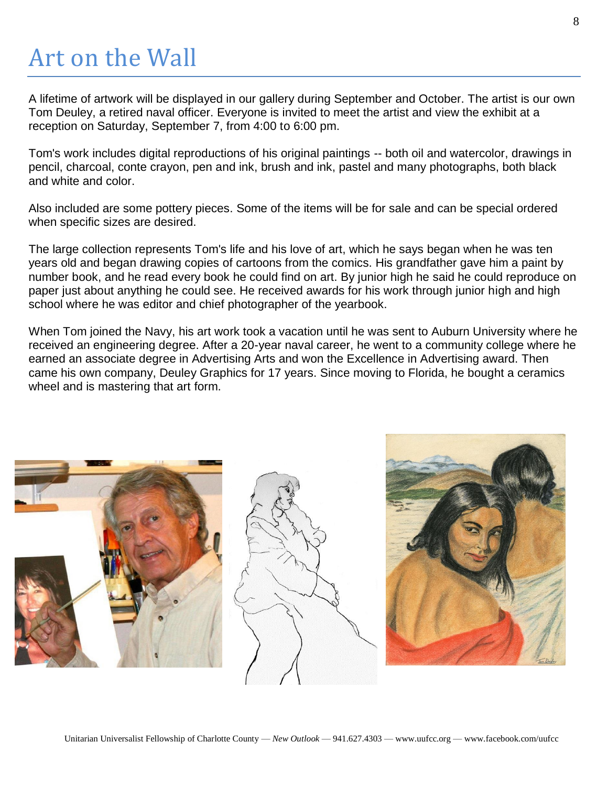# Art on the Wall

A lifetime of artwork will be displayed in our gallery during September and October. The artist is our own Tom Deuley, a retired naval officer. Everyone is invited to meet the artist and view the exhibit at a reception on Saturday, September 7, from 4:00 to 6:00 pm.

Tom's work includes digital reproductions of his original paintings -- both oil and watercolor, drawings in pencil, charcoal, conte crayon, pen and ink, brush and ink, pastel and many photographs, both black and white and color.

Also included are some pottery pieces. Some of the items will be for sale and can be special ordered when specific sizes are desired.

The large collection represents Tom's life and his love of art, which he says began when he was ten years old and began drawing copies of cartoons from the comics. His grandfather gave him a paint by number book, and he read every book he could find on art. By junior high he said he could reproduce on paper just about anything he could see. He received awards for his work through junior high and high school where he was editor and chief photographer of the yearbook.

When Tom joined the Navy, his art work took a vacation until he was sent to Auburn University where he received an engineering degree. After a 20-year naval career, he went to a community college where he earned an associate degree in Advertising Arts and won the Excellence in Advertising award. Then came his own company, Deuley Graphics for 17 years. Since moving to Florida, he bought a ceramics wheel and is mastering that art form.